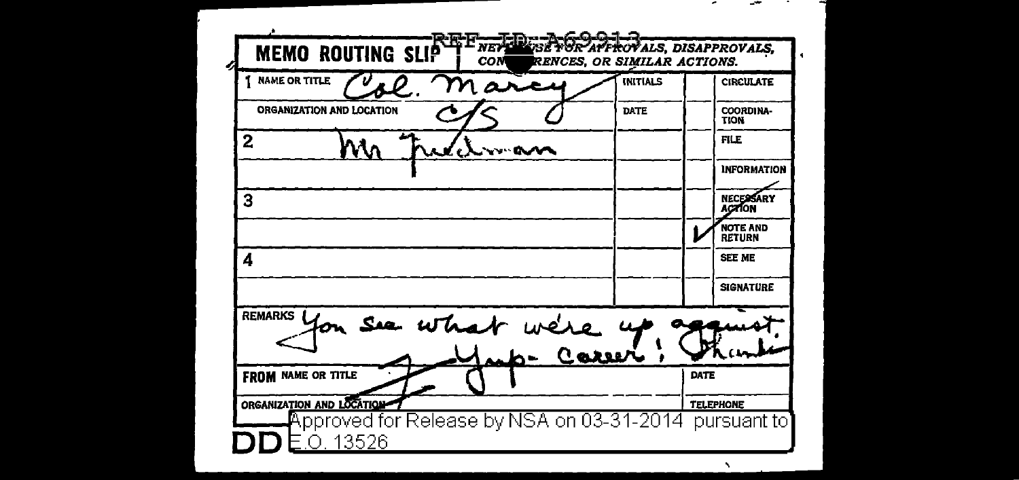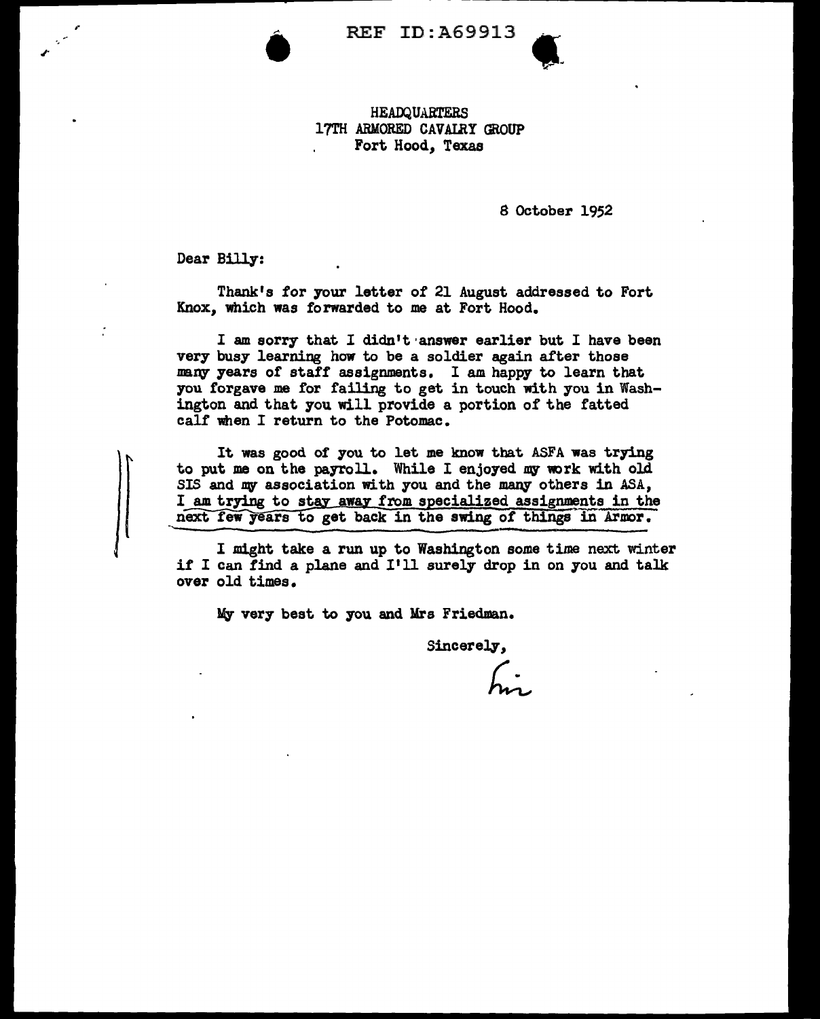REF ID:A69913



HEADQUARTERS l?TH ARMORED CAVAIBY GROUP Fort Hood, Texas

8 October 1952

Dear Billy:

 $\mathscr{E}=\begin{pmatrix} \mathscr{E} & \mathscr{E} & \mathscr{E} \ \mathscr{E} & \mathscr{E} & \mathscr{E} \end{pmatrix}$ 

Thank <sup>1</sup>s for your letter of 21 August addressed to Fort Knox, which was forwarded to me at Fort Hood.

I am sorry that I didn't answer earlier but I have been very busy learning how to be a soldier again after those many years of staff assignments. I am happy to learn that you forgave me for failing to get in touch with you in Washington and that you will provide a portion of the fatted calf when I return to the Potomac.

It was good of you to let me know that ASFA was trying to put me on the payroll. While I enjoyed my work with old SIS and my association with you and the many others in ASA, I am trying to stay away from specialized assignments in the next few years to get back in the swing of things in Armor.

I might take a run up to Washington some time next winter if I can find a plane and I'll surely drop in on you and talk over old times.

My very best to you and Mrs Friedman.

Sincerely,

 $\mathcal{\Gamma}$  .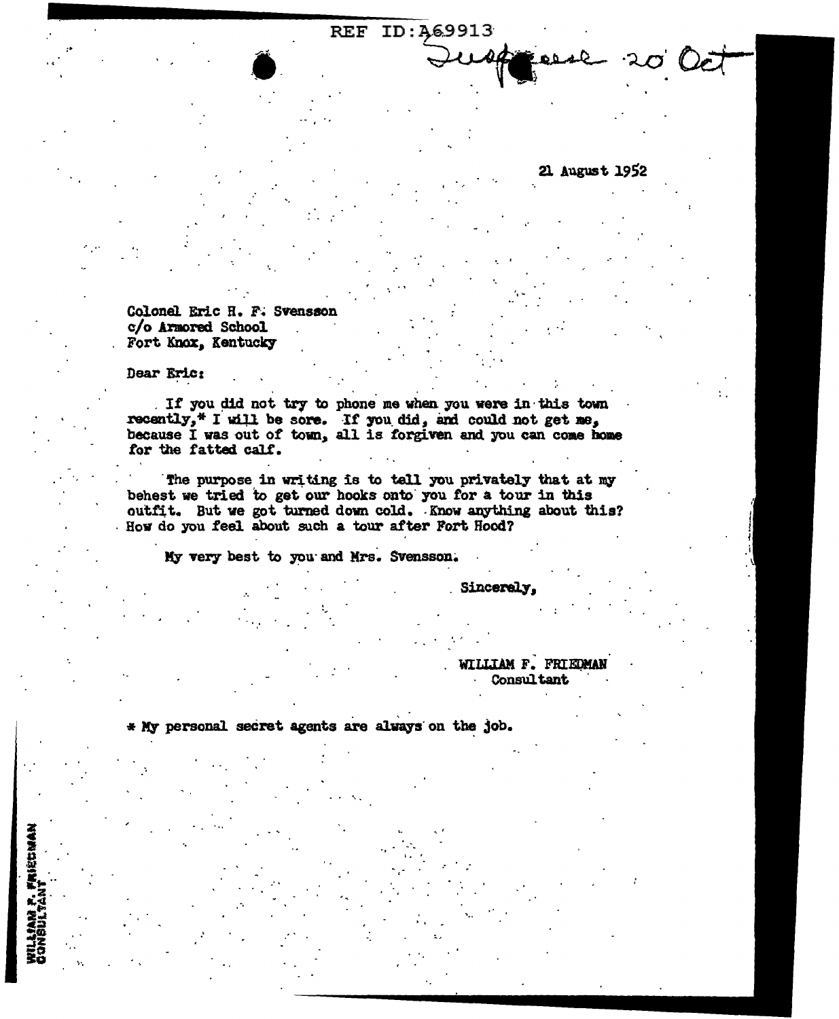REF ID: A69913

 $2000$ 

21 August 1952

Colonel Eric H. F. Svensson c/o Armored School Fort Knox, Kentucky

Dear Eric:

avllear p. friedwar<br>Dombliedent

If you did not try to phone me when you were in this town recently,\* I will be sore. If you did, and could not get me. because I was out of town, all is forgiven and you can come home for the fatted calf.

The purpose in writing is to tell you privately that at my behest we tried to get our hooks onto you for a tour in this outfit. But we got turned down cold. Know anything about this? How do you feel about such a tour after Fort Hood?

My very best to you and Mrs. Svensson.

Sincerely.

WILLIAM F. FRIEDMAN **Consultant** 

\* My personal secret agents are always on the job.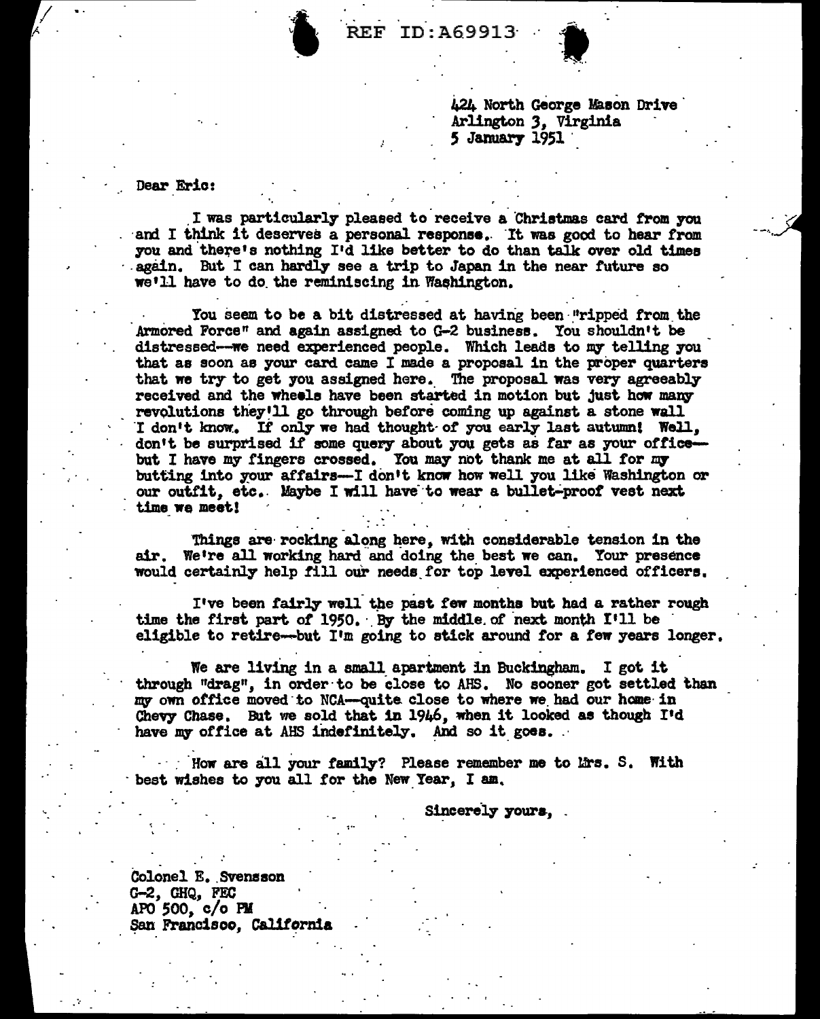**REF ID: A69913** 

**L2L North George Mason Drive** Arlington 3. Virginia 5 January 1951

## Dear Eric:

I was particularly pleased to receive a Christmas card from you and I think it deserves a personal response. It was good to hear from you and there's nothing I'd like better to do than talk over old times again. But I can hardly see a trip to Japan in the near future so we'll have to do the reminiscing in Washington.

You seem to be a bit distressed at having been "ripped from the Armored Force" and again assigned to G-2 business. You shouldn't be distressed--we need experienced people. Which leads to my telling you that as soon as your card came I made a proposal in the proper quarters that we try to get you assigned here. The proposal was very agreeably received and the wheels have been started in motion but just how many revolutions they'll go through before coming up against a stone wall I don't know. If only we had thought of you early last autumn! Well. don't be surprised if some query about you gets as far as your officebut I have my fingers crossed. You may not thank me at all for my butting into your affairs-I don't know how well you like Washington or our outfit, etc. Maybe I will have to wear a bullet-proof vest next time we meet!

Things are rocking along here, with considerable tension in the air. We're all working hard and doing the best we can. Your presence would certainly help fill our needs for top level experienced officers.

I've been fairly well the past few months but had a rather rough time the first part of 1950. By the middle of next month I'll be eligible to retire-but I'm going to stick around for a few years longer.

We are living in a small apartment in Buckingham. I got it through "drag", in order to be close to AHS. No sooner got settled than my own office moved to NCA-quite close to where we had our home in Chevy Chase. But we sold that in 1946, when it looked as though I'd have my office at AHS indefinitely. And so it goes.

How are all your family? Please remember me to Mrs. S. With best wishes to you all for the New Year. I am.

Sincerely yours,

Colonel E. Svensson G-2, GHQ, FEC  $APO$  500, c/o PM San Francisco, California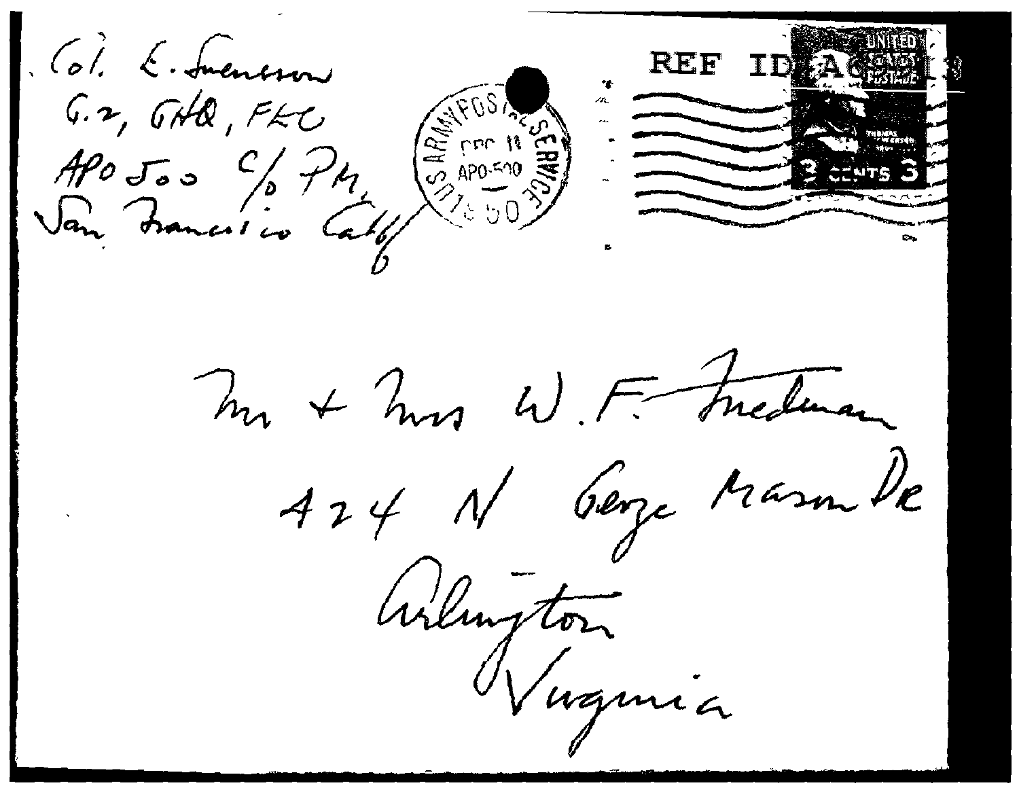Col. E. Sueneson REF IDEA  $6.2,610,720$ APO Jos C/ PM,  $\overline{60}$  APO-500 m + ms W.F. Frederan

424 N Gerze Mason De

Colonyton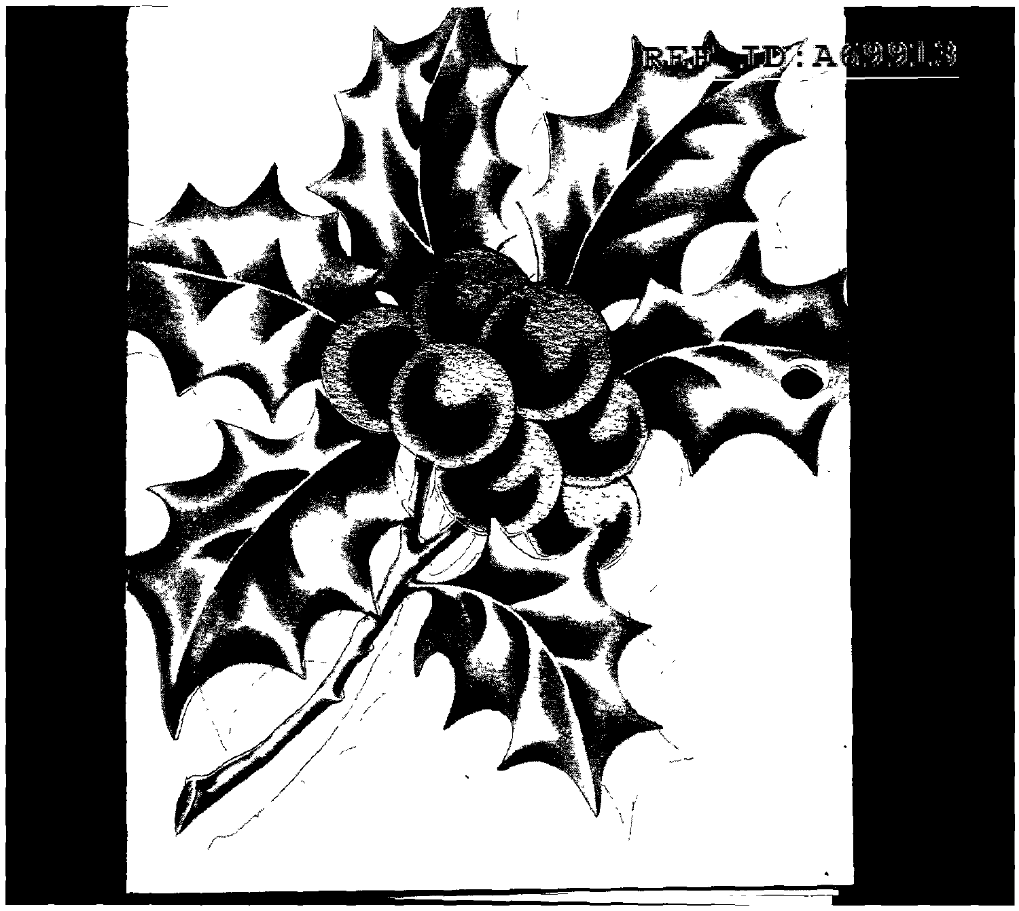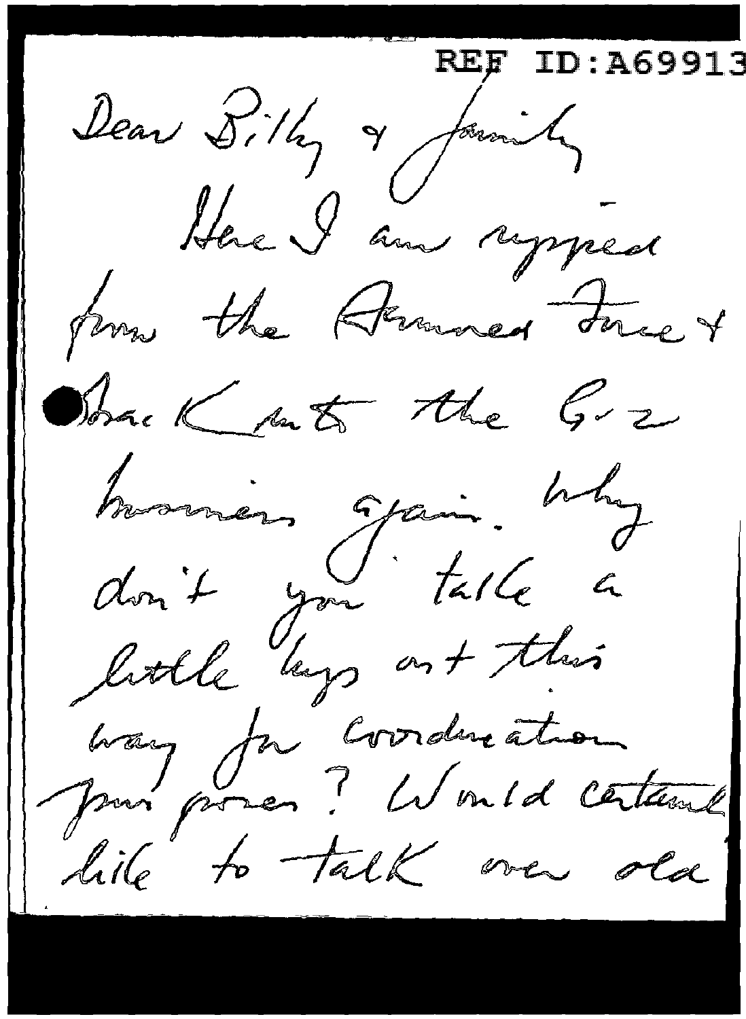ID: A69913 RE.F Dear Silly & Jamily Have I am repped from the Hormoed Toucet Shack Ant the G.z harmens gain. Why don't you talk a little by art this way for coordination Jan pores? Would certaine like to talk over old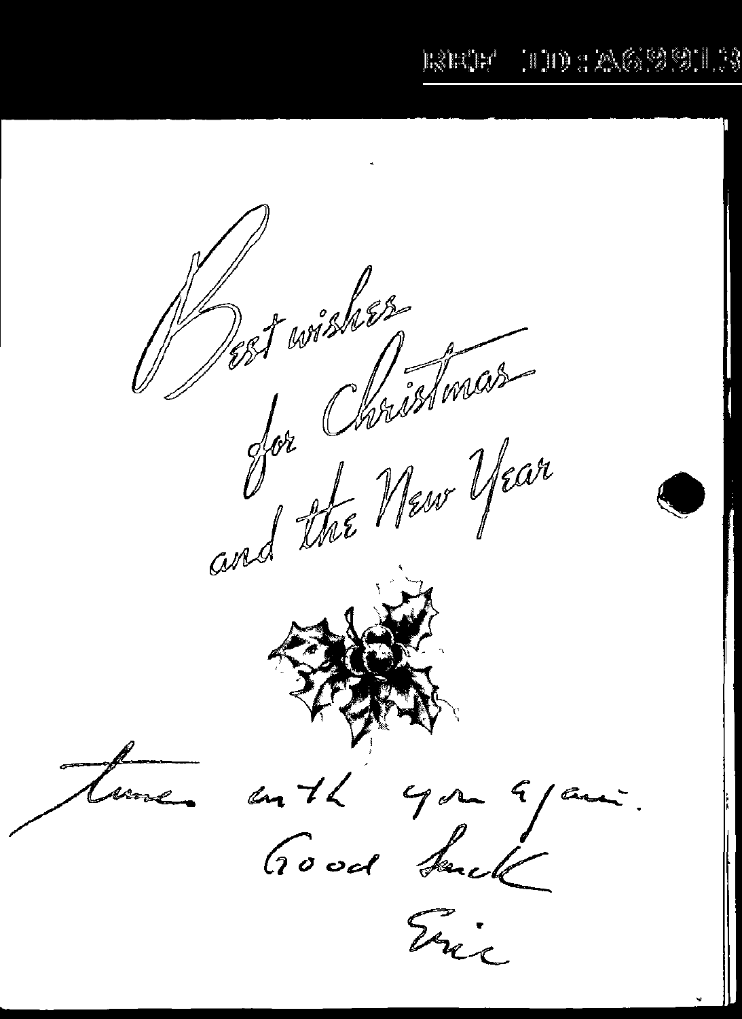## 100:246221 ngmund - 3

lest wishes Jor Christmas gor wown muss Good  $\overline{\lambda}$